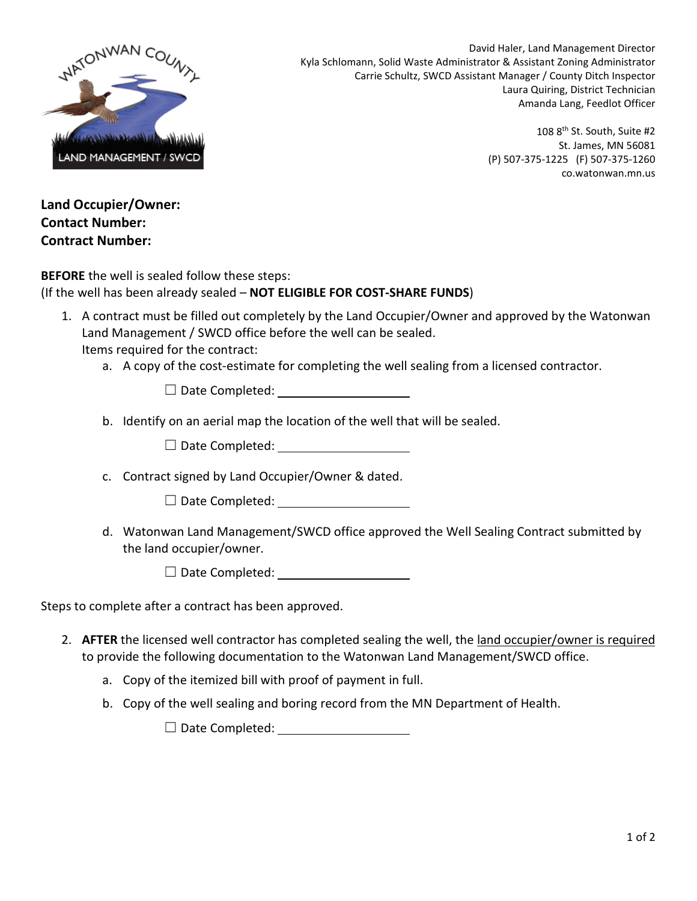

David Haler, Land Management Director Kyla Schlomann, Solid Waste Administrator & Assistant Zoning Administrator Carrie Schultz, SWCD Assistant Manager / County Ditch Inspector Laura Quiring, District Technician Amanda Lang, Feedlot Officer

> 108 8<sup>th</sup> St. South, Suite #2 St. James, MN 56081 (P) 507-375-1225 (F) 507-375-1260 co.watonwan.mn.us

**Land Occupier/Owner: Contact Number: Contract Number:** 

**BEFORE** the well is sealed follow these steps: (If the well has been already sealed – **NOT ELIGIBLE FOR COST-SHARE FUNDS**)

- 1. A contract must be filled out completely by the Land Occupier/Owner and approved by the Watonwan Land Management / SWCD office before the well can be sealed. Items required for the contract:
	- a. A copy of the cost-estimate for completing the well sealing from a licensed contractor.

☐ Date Completed:

b. Identify on an aerial map the location of the well that will be sealed.

☐ Date Completed:

c. Contract signed by Land Occupier/Owner & dated.

☐ Date Completed:

d. Watonwan Land Management/SWCD office approved the Well Sealing Contract submitted by the land occupier/owner.

☐ Date Completed:

Steps to complete after a contract has been approved.

- 2. **AFTER** the licensed well contractor has completed sealing the well, the land occupier/owner is required to provide the following documentation to the Watonwan Land Management/SWCD office.
	- a. Copy of the itemized bill with proof of payment in full.
	- b. Copy of the well sealing and boring record from the MN Department of Health.

☐ Date Completed: